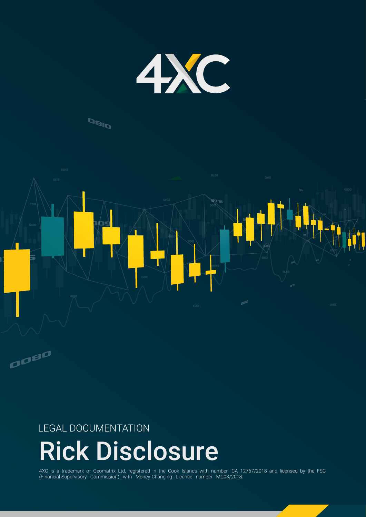

# **DBID**



# LEGAL DOCUMENTATION

# Rick Disclosure

4XC is a trademark of Geomatrix Ltd, registered in the Cook Islands with number ICA 12767/2018 and licensed by the FSC (Financial Supervisory Commission) with Money-Changing License number MC03/2018.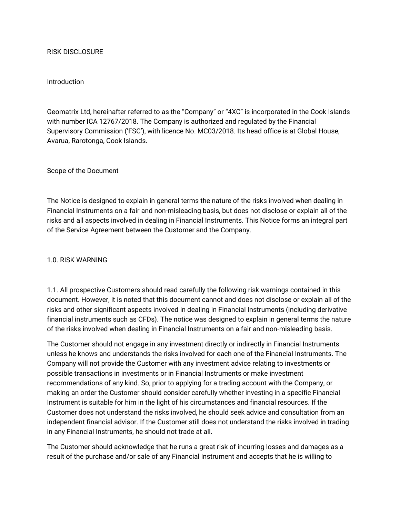#### RISK DISCLOSURE

#### Introduction

Geomatrix Ltd, hereinafter referred to as the "Company" or "4XC" is incorporated in the Cook Islands with number ICA 12767/2018. The Company is authorized and regulated by the Financial Supervisory Commission ('FSC'), with licence No. MC03/2018. Its head office is at Global House, Avarua, Rarotonga, Cook Islands.

Scope of the Document

The Notice is designed to explain in general terms the nature of the risks involved when dealing in Financial Instruments on a fair and non-misleading basis, but does not disclose or explain all of the risks and all aspects involved in dealing in Financial Instruments. This Notice forms an integral part of the Service Agreement between the Customer and the Company.

#### 1.0. RISK WARNING

1.1. All prospective Customers should read carefully the following risk warnings contained in this document. However, it is noted that this document cannot and does not disclose or explain all of the risks and other significant aspects involved in dealing in Financial Instruments (including derivative financial instruments such as CFDs). The notice was designed to explain in general terms the nature of the risks involved when dealing in Financial Instruments on a fair and non-misleading basis.

The Customer should not engage in any investment directly or indirectly in Financial Instruments unless he knows and understands the risks involved for each one of the Financial Instruments. The Company will not provide the Customer with any investment advice relating to investments or possible transactions in investments or in Financial Instruments or make investment recommendations of any kind. So, prior to applying for a trading account with the Company, or making an order the Customer should consider carefully whether investing in a specific Financial Instrument is suitable for him in the light of his circumstances and financial resources. If the Customer does not understand the risks involved, he should seek advice and consultation from an independent financial advisor. If the Customer still does not understand the risks involved in trading in any Financial Instruments, he should not trade at all.

The Customer should acknowledge that he runs a great risk of incurring losses and damages as a result of the purchase and/or sale of any Financial Instrument and accepts that he is willing to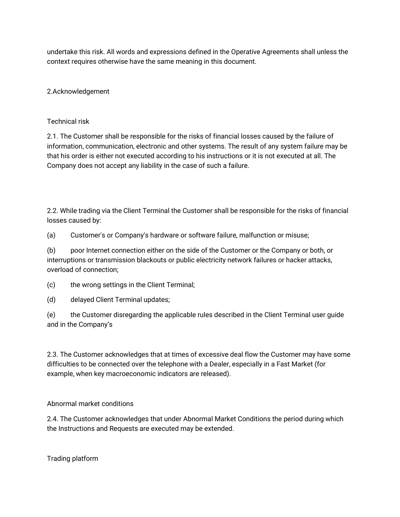undertake this risk. All words and expressions defined in the Operative Agreements shall unless the context requires otherwise have the same meaning in this document.

2.Acknowledgement

Technical risk

2.1. The Customer shall be responsible for the risks of financial losses caused by the failure of information, communication, electronic and other systems. The result of any system failure may be that his order is either not executed according to his instructions or it is not executed at all. The Company does not accept any liability in the case of such a failure.

2.2. While trading via the Client Terminal the Customer shall be responsible for the risks of financial losses caused by:

(a) Customer's or Company's hardware or software failure, malfunction or misuse;

(b) poor Internet connection either on the side of the Customer or the Company or both, or interruptions or transmission blackouts or public electricity network failures or hacker attacks, overload of connection;

(c) the wrong settings in the Client Terminal;

(d) delayed Client Terminal updates;

(e) the Customer disregarding the applicable rules described in the Client Terminal user guide and in the Company's

2.3. The Customer acknowledges that at times of excessive deal flow the Customer may have some difficulties to be connected over the telephone with a Dealer, especially in a Fast Market (for example, when key macroeconomic indicators are released).

Abnormal market conditions

2.4. The Customer acknowledges that under Abnormal Market Conditions the period during which the Instructions and Requests are executed may be extended.

Trading platform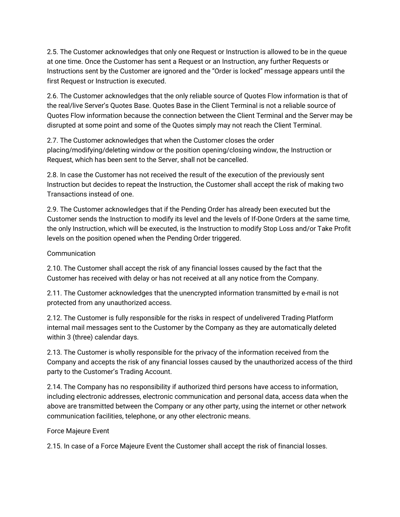2.5. The Customer acknowledges that only one Request or Instruction is allowed to be in the queue at one time. Once the Customer has sent a Request or an Instruction, any further Requests or Instructions sent by the Customer are ignored and the "Order is locked" message appears until the first Request or Instruction is executed.

2.6. The Customer acknowledges that the only reliable source of Quotes Flow information is that of the real/live Server's Quotes Base. Quotes Base in the Client Terminal is not a reliable source of Quotes Flow information because the connection between the Client Terminal and the Server may be disrupted at some point and some of the Quotes simply may not reach the Client Terminal.

2.7. The Customer acknowledges that when the Customer closes the order placing/modifying/deleting window or the position opening/closing window, the Instruction or Request, which has been sent to the Server, shall not be cancelled.

2.8. In case the Customer has not received the result of the execution of the previously sent Instruction but decides to repeat the Instruction, the Customer shall accept the risk of making two Transactions instead of one.

2.9. The Customer acknowledges that if the Pending Order has already been executed but the Customer sends the Instruction to modify its level and the levels of If-Done Orders at the same time, the only Instruction, which will be executed, is the Instruction to modify Stop Loss and/or Take Profit levels on the position opened when the Pending Order triggered.

# Communication

2.10. The Customer shall accept the risk of any financial losses caused by the fact that the Customer has received with delay or has not received at all any notice from the Company.

2.11. The Customer acknowledges that the unencrypted information transmitted by e-mail is not protected from any unauthorized access.

2.12. The Customer is fully responsible for the risks in respect of undelivered Trading Platform internal mail messages sent to the Customer by the Company as they are automatically deleted within 3 (three) calendar days.

2.13. The Customer is wholly responsible for the privacy of the information received from the Company and accepts the risk of any financial losses caused by the unauthorized access of the third party to the Customer's Trading Account.

2.14. The Company has no responsibility if authorized third persons have access to information, including electronic addresses, electronic communication and personal data, access data when the above are transmitted between the Company or any other party, using the internet or other network communication facilities, telephone, or any other electronic means.

## Force Majeure Event

2.15. In case of a Force Majeure Event the Customer shall accept the risk of financial losses.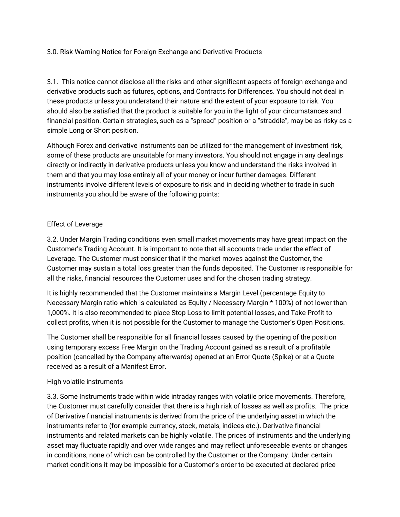# 3.0. Risk Warning Notice for Foreign Exchange and Derivative Products

3.1. This notice cannot disclose all the risks and other significant aspects of foreign exchange and derivative products such as futures, options, and Contracts for Differences. You should not deal in these products unless you understand their nature and the extent of your exposure to risk. You should also be satisfied that the product is suitable for you in the light of your circumstances and financial position. Certain strategies, such as a "spread" position or a "straddle", may be as risky as a simple Long or Short position.

Although Forex and derivative instruments can be utilized for the management of investment risk, some of these products are unsuitable for many investors. You should not engage in any dealings directly or indirectly in derivative products unless you know and understand the risks involved in them and that you may lose entirely all of your money or incur further damages. Different instruments involve different levels of exposure to risk and in deciding whether to trade in such instruments you should be aware of the following points:

## Effect of Leverage

3.2. Under Margin Trading conditions even small market movements may have great impact on the Customer's Trading Account. It is important to note that all accounts trade under the effect of Leverage. The Customer must consider that if the market moves against the Customer, the Customer may sustain a total loss greater than the funds deposited. The Customer is responsible for all the risks, financial resources the Customer uses and for the chosen trading strategy.

It is highly recommended that the Customer maintains a Margin Level (percentage Equity to Necessary Margin ratio which is calculated as Equity / Necessary Margin \* 100%) of not lower than 1,000%. It is also recommended to place Stop Loss to limit potential losses, and Take Profit to collect profits, when it is not possible for the Customer to manage the Customer's Open Positions.

The Customer shall be responsible for all financial losses caused by the opening of the position using temporary excess Free Margin on the Trading Account gained as a result of a profitable position (cancelled by the Company afterwards) opened at an Error Quote (Spike) or at a Quote received as a result of a Manifest Error.

## High volatile instruments

3.3. Some Instruments trade within wide intraday ranges with volatile price movements. Therefore, the Customer must carefully consider that there is a high risk of losses as well as profits. The price of Derivative financial instruments is derived from the price of the underlying asset in which the instruments refer to (for example currency, stock, metals, indices etc.). Derivative financial instruments and related markets can be highly volatile. The prices of instruments and the underlying asset may fluctuate rapidly and over wide ranges and may reflect unforeseeable events or changes in conditions, none of which can be controlled by the Customer or the Company. Under certain market conditions it may be impossible for a Customer's order to be executed at declared price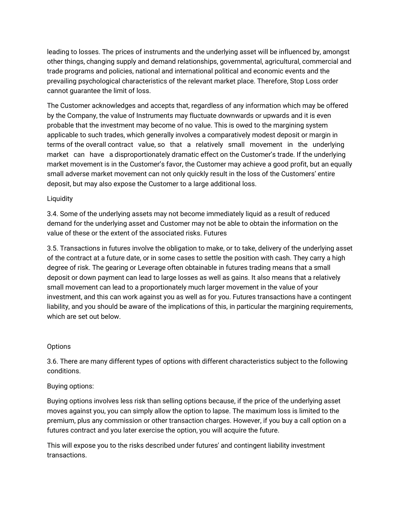leading to losses. The prices of instruments and the underlying asset will be influenced by, amongst other things, changing supply and demand relationships, governmental, agricultural, commercial and trade programs and policies, national and international political and economic events and the prevailing psychological characteristics of the relevant market place. Therefore, Stop Loss order cannot guarantee the limit of loss.

The Customer acknowledges and accepts that, regardless of any information which may be offered by the Company, the value of Instruments may fluctuate downwards or upwards and it is even probable that the investment may become of no value. This is owed to the margining system applicable to such trades, which generally involves a comparatively modest deposit or margin in terms of the overall contract value, so that a relatively small movement in the underlying market can have a disproportionately dramatic effect on the Customer's trade. If the underlying market movement is in the Customer's favor, the Customer may achieve a good profit, but an equally small adverse market movement can not only quickly result in the loss of the Customers' entire deposit, but may also expose the Customer to a large additional loss.

# **Liquidity**

3.4. Some of the underlying assets may not become immediately liquid as a result of reduced demand for the underlying asset and Customer may not be able to obtain the information on the value of these or the extent of the associated risks. Futures

3.5. Transactions in futures involve the obligation to make, or to take, delivery of the underlying asset of the contract at a future date, or in some cases to settle the position with cash. They carry a high degree of risk. The gearing or Leverage often obtainable in futures trading means that a small deposit or down payment can lead to large losses as well as gains. It also means that a relatively small movement can lead to a proportionately much larger movement in the value of your investment, and this can work against you as well as for you. Futures transactions have a contingent liability, and you should be aware of the implications of this, in particular the margining requirements, which are set out below.

## **Options**

3.6. There are many different types of options with different characteristics subject to the following conditions.

# Buying options:

Buying options involves less risk than selling options because, if the price of the underlying asset moves against you, you can simply allow the option to lapse. The maximum loss is limited to the premium, plus any commission or other transaction charges. However, if you buy a call option on a futures contract and you later exercise the option, you will acquire the future.

This will expose you to the risks described under futures' and contingent liability investment transactions.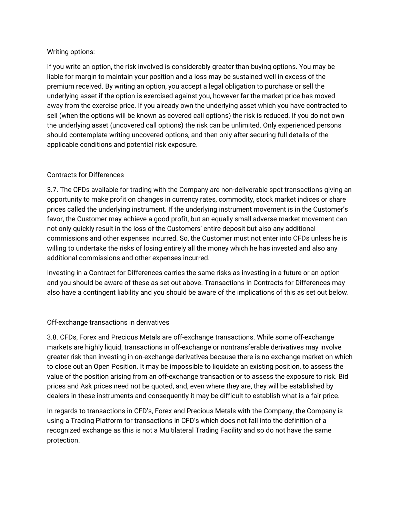# Writing options:

If you write an option, the risk involved is considerably greater than buying options. You may be liable for margin to maintain your position and a loss may be sustained well in excess of the premium received. By writing an option, you accept a legal obligation to purchase or sell the underlying asset if the option is exercised against you, however far the market price has moved away from the exercise price. If you already own the underlying asset which you have contracted to sell (when the options will be known as covered call options) the risk is reduced. If you do not own the underlying asset (uncovered call options) the risk can be unlimited. Only experienced persons should contemplate writing uncovered options, and then only after securing full details of the applicable conditions and potential risk exposure.

# Contracts for Differences

3.7. The CFDs available for trading with the Company are non-deliverable spot transactions giving an opportunity to make profit on changes in currency rates, commodity, stock market indices or share prices called the underlying instrument. If the underlying instrument movement is in the Customer's favor, the Customer may achieve a good profit, but an equally small adverse market movement can not only quickly result in the loss of the Customers' entire deposit but also any additional commissions and other expenses incurred. So, the Customer must not enter into CFDs unless he is willing to undertake the risks of losing entirely all the money which he has invested and also any additional commissions and other expenses incurred.

Investing in a Contract for Differences carries the same risks as investing in a future or an option and you should be aware of these as set out above. Transactions in Contracts for Differences may also have a contingent liability and you should be aware of the implications of this as set out below.

## Off-exchange transactions in derivatives

3.8. CFDs, Forex and Precious Metals are off-exchange transactions. While some off-exchange markets are highly liquid, transactions in off-exchange or nontransferable derivatives may involve greater risk than investing in on-exchange derivatives because there is no exchange market on which to close out an Open Position. It may be impossible to liquidate an existing position, to assess the value of the position arising from an off-exchange transaction or to assess the exposure to risk. Bid prices and Ask prices need not be quoted, and, even where they are, they will be established by dealers in these instruments and consequently it may be difficult to establish what is a fair price.

In regards to transactions in CFD's, Forex and Precious Metals with the Company, the Company is using a Trading Platform for transactions in CFD's which does not fall into the definition of a recognized exchange as this is not a Multilateral Trading Facility and so do not have the same protection.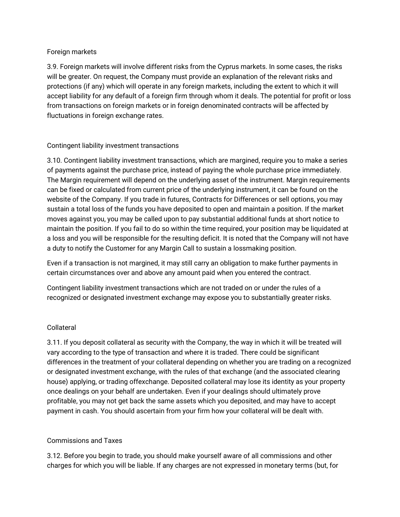## Foreign markets

3.9. Foreign markets will involve different risks from the Cyprus markets. In some cases, the risks will be greater. On request, the Company must provide an explanation of the relevant risks and protections (if any) which will operate in any foreign markets, including the extent to which it will accept liability for any default of a foreign firm through whom it deals. The potential for profit or loss from transactions on foreign markets or in foreign denominated contracts will be affected by fluctuations in foreign exchange rates.

# Contingent liability investment transactions

3.10. Contingent liability investment transactions, which are margined, require you to make a series of payments against the purchase price, instead of paying the whole purchase price immediately. The Margin requirement will depend on the underlying asset of the instrument. Margin requirements can be fixed or calculated from current price of the underlying instrument, it can be found on the website of the Company. If you trade in futures, Contracts for Differences or sell options, you may sustain a total loss of the funds you have deposited to open and maintain a position. If the market moves against you, you may be called upon to pay substantial additional funds at short notice to maintain the position. If you fail to do so within the time required, your position may be liquidated at a loss and you will be responsible for the resulting deficit. It is noted that the Company will not have a duty to notify the Customer for any Margin Call to sustain a lossmaking position.

Even if a transaction is not margined, it may still carry an obligation to make further payments in certain circumstances over and above any amount paid when you entered the contract.

Contingent liability investment transactions which are not traded on or under the rules of a recognized or designated investment exchange may expose you to substantially greater risks.

## Collateral

3.11. If you deposit collateral as security with the Company, the way in which it will be treated will vary according to the type of transaction and where it is traded. There could be significant differences in the treatment of your collateral depending on whether you are trading on a recognized or designated investment exchange, with the rules of that exchange (and the associated clearing house) applying, or trading offexchange. Deposited collateral may lose its identity as your property once dealings on your behalf are undertaken. Even if your dealings should ultimately prove profitable, you may not get back the same assets which you deposited, and may have to accept payment in cash. You should ascertain from your firm how your collateral will be dealt with.

## Commissions and Taxes

3.12. Before you begin to trade, you should make yourself aware of all commissions and other charges for which you will be liable. If any charges are not expressed in monetary terms (but, for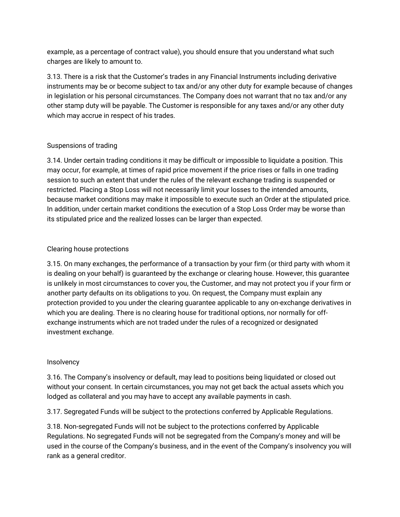example, as a percentage of contract value), you should ensure that you understand what such charges are likely to amount to.

3.13. There is a risk that the Customer's trades in any Financial Instruments including derivative instruments may be or become subject to tax and/or any other duty for example because of changes in legislation or his personal circumstances. The Company does not warrant that no tax and/or any other stamp duty will be payable. The Customer is responsible for any taxes and/or any other duty which may accrue in respect of his trades.

# Suspensions of trading

3.14. Under certain trading conditions it may be difficult or impossible to liquidate a position. This may occur, for example, at times of rapid price movement if the price rises or falls in one trading session to such an extent that under the rules of the relevant exchange trading is suspended or restricted. Placing a Stop Loss will not necessarily limit your losses to the intended amounts, because market conditions may make it impossible to execute such an Order at the stipulated price. In addition, under certain market conditions the execution of a Stop Loss Order may be worse than its stipulated price and the realized losses can be larger than expected.

# Clearing house protections

3.15. On many exchanges, the performance of a transaction by your firm (or third party with whom it is dealing on your behalf) is guaranteed by the exchange or clearing house. However, this guarantee is unlikely in most circumstances to cover you, the Customer, and may not protect you if your firm or another party defaults on its obligations to you. On request, the Company must explain any protection provided to you under the clearing guarantee applicable to any on-exchange derivatives in which you are dealing. There is no clearing house for traditional options, nor normally for offexchange instruments which are not traded under the rules of a recognized or designated investment exchange.

## Insolvency

3.16. The Company's insolvency or default, may lead to positions being liquidated or closed out without your consent. In certain circumstances, you may not get back the actual assets which you lodged as collateral and you may have to accept any available payments in cash.

3.17. Segregated Funds will be subject to the protections conferred by Applicable Regulations.

3.18. Non-segregated Funds will not be subject to the protections conferred by Applicable Regulations. No segregated Funds will not be segregated from the Company's money and will be used in the course of the Company's business, and in the event of the Company's insolvency you will rank as a general creditor.